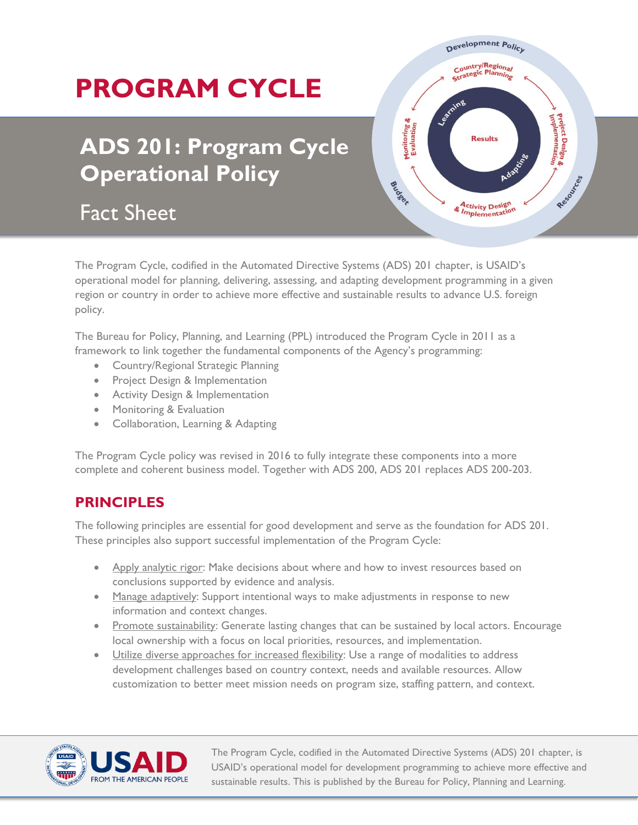# **PROGRAM CYCLE**

# **ADS 201: Program Cycle Operational Policy**

Fact Sheet



The Program Cycle, codified in the Automated Directive Systems (ADS) 201 chapter, is USAID's operational model for planning, delivering, assessing, and adapting development programming in a given region or country in order to achieve more effective and sustainable results to advance U.S. foreign policy.

The Bureau for Policy, Planning, and Learning (PPL) introduced the Program Cycle in 2011 as a framework to link together the fundamental components of the Agency's programming:

- Country/Regional Strategic Planning
- Project Design & Implementation
- Activity Design & Implementation
- Monitoring & Evaluation
- Collaboration, Learning & Adapting

The Program Cycle policy was revised in 2016 to fully integrate these components into a more complete and coherent business model. Together with ADS 200, ADS 201 replaces ADS 200-203.

### **PRINCIPLES**

The following principles are essential for good development and serve as the foundation for ADS 201. These principles also support successful implementation of the Program Cycle:

- Apply analytic rigor: Make decisions about where and how to invest resources based on conclusions supported by evidence and analysis.
- Manage adaptively: Support intentional ways to make adjustments in response to new information and context changes.
- Promote sustainability: Generate lasting changes that can be sustained by local actors. Encourage local ownership with a focus on local priorities, resources, and implementation.
- Utilize diverse approaches for increased flexibility: Use a range of modalities to address development challenges based on country context, needs and available resources. Allow customization to better meet mission needs on program size, staffing pattern, and context.



The Program Cycle, codified in the Automated Directive Systems (ADS) 201 chapter, is USAID's operational model for development programming to achieve more effective and sustainable results. This is published by the Bureau for Policy, Planning and Learning.